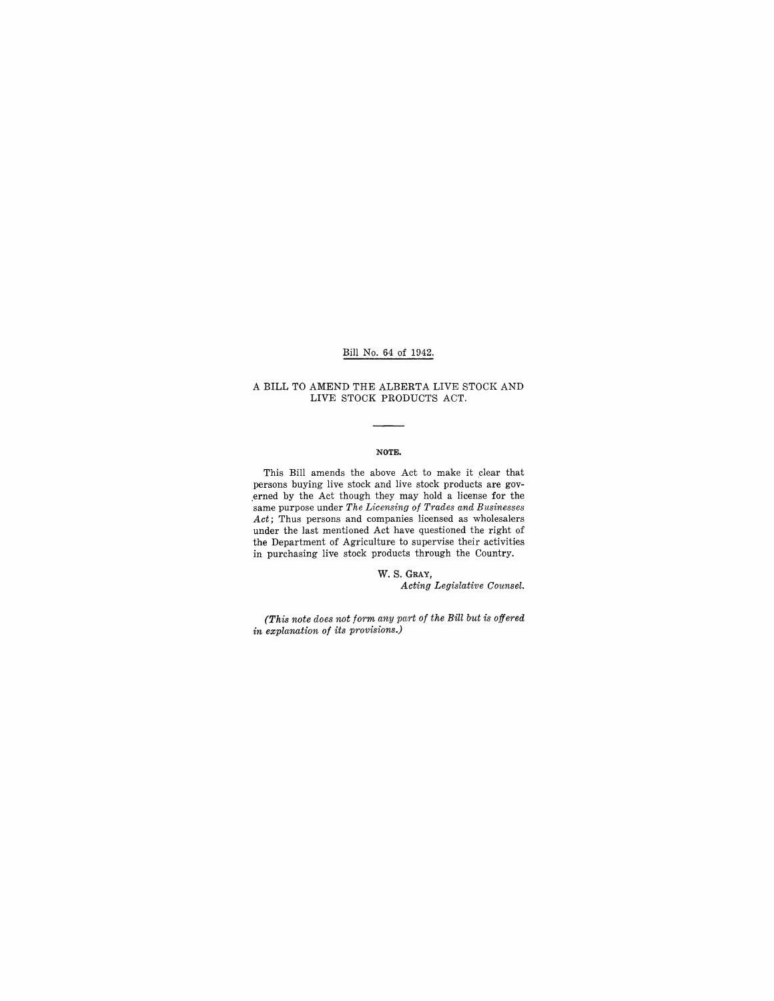### Bill No. 64 of 1942.

#### A BILL TO AMEND THE ALBERTA LIVE STOCK AND LIVE STOCK PRODUCTS ACT.

#### **NOTE.**

This Bill amends the above Act to make it clear that persons buying live stock and live stock products are gov-.erned by the Act though they may hold a license for the same purpose under *The Licensing of Trades and Businesses Act;* Thus persons and companies licensed as wholesalers under the last mentioned Act have questioned the right of the Department of Agriculture to supervise their activities in purchasing live stock products through the Country.

> W. S. GRAY, *Acting Legislative Counsel.*

*(This note does not form any part of the Bill but is offered in explanation of its provisions.)*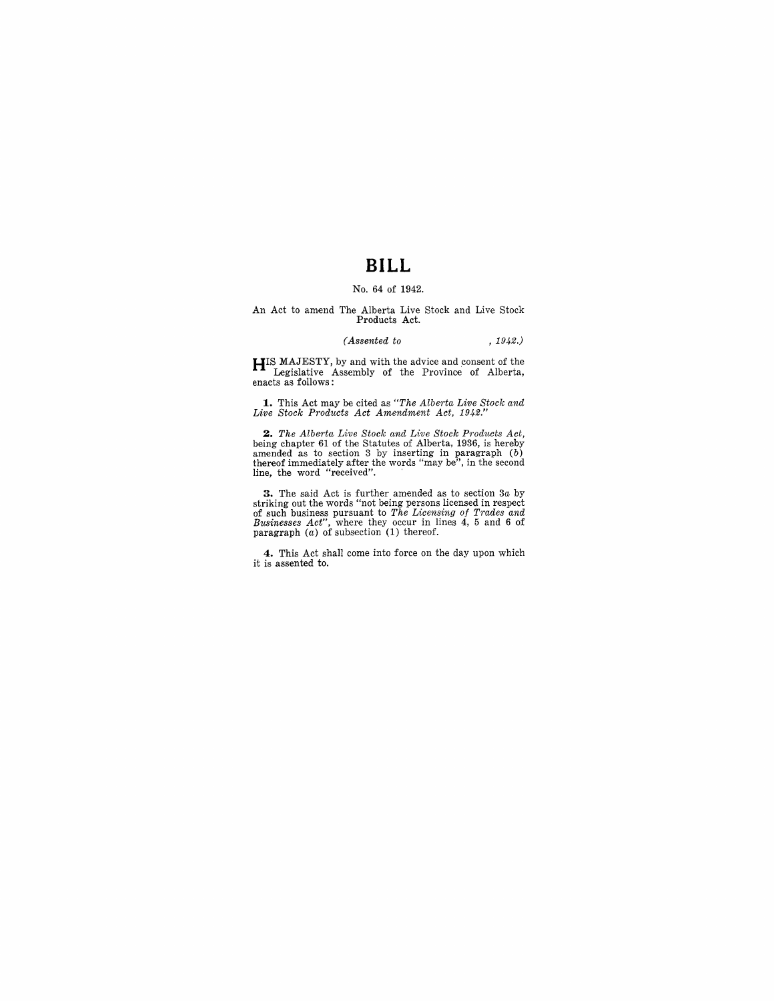## **BILL**

### No. 64 of 1942.

## An Act to amend The Alberta Live Stock and Live Stock Products Act.

#### *(Assented to* , 1942.)

**HIS MAJESTY,** by and with the advice and consent of the Legislative Assembly of the Province of Alberta, enacts as follows:

**1.** This Act may be cited as "The Alberta Live Stock and Live Stock Products Act Amendment Act, 1942."

**2.** The Alberta Live Stock and Live Stock Products Act, being chapter 61 of the Statutes of Alberta, 1936, is hereby amended as to section 3 by inserting in paragraph  $(b)$  thereof immediately after the words "may be", in

**3.** The said Act is further amended as to section 3a by striking out the words "not being persons licensing of respect of such business pursuant to The Licensing of Trades and Businesses Act", where they occur in lines 4

**4.** This Act shall come into force on the day upon which it is assented to.